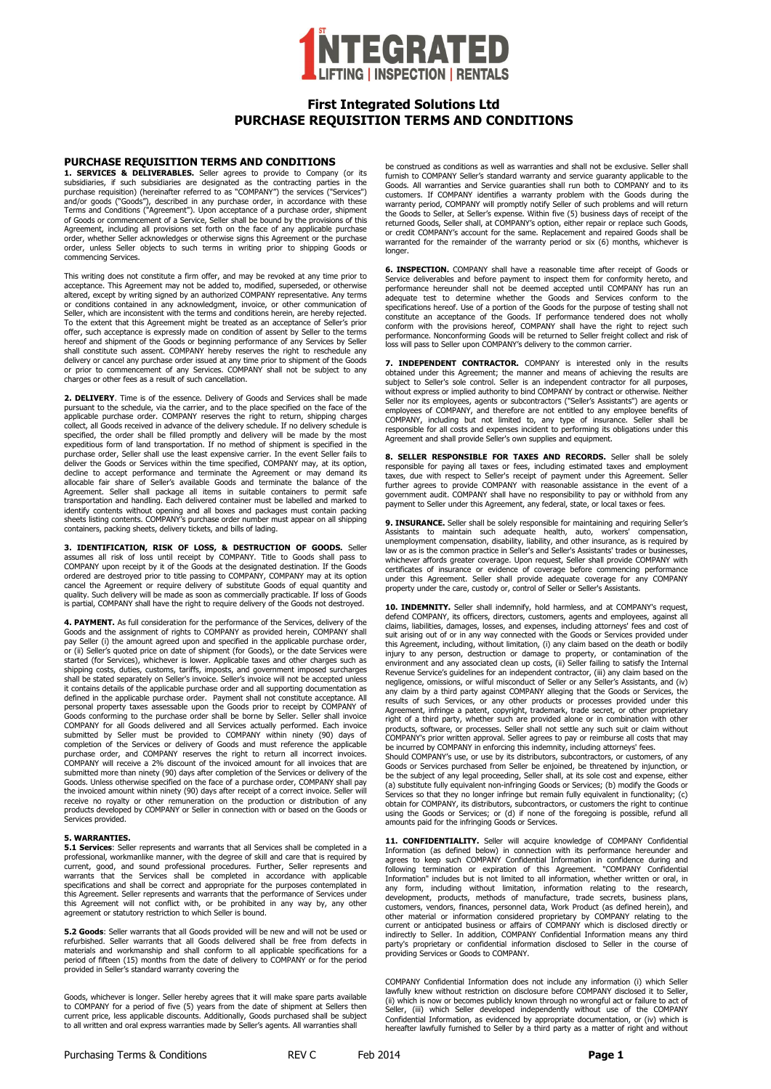

# **First Integrated Solutions Ltd PURCHASE REQUISITION TERMS AND CONDITIONS**

#### **PURCHASE REQUISITION TERMS AND CONDITIONS**

**1. SERVICES & DELIVERABLES.** Seller agrees to provide to Company (or its subsidiaries, if such subsidiaries are designated as the contracting parties in the purchase requisition) (hereinafter referred to as "COMPANY") the services ("Services")<br>and/or goods ("Goods"), described in any purchase order, in accordance with these Terms and Conditions ("Agreement"). Upon acceptance of a purchase order, shipment of Goods or commencement of a Service, Seller shall be bound by the provisions of this Agreement, including all provisions set forth on the face of any applicable purchase order, whether Seller acknowledges or otherwise signs this Agreement or the purchase order, unless Seller objects to such terms in writing prior to shipping Goods or commencing Services.

This writing does not constitute a firm offer, and may be revoked at any time prior to<br>acceptance. This Agreement may not be added to, modified, superseded, or otherwise<br>altered, except by writing signed by an authorized C or conditions contained in any acknowledgment, invoice, or other communication of Seller, which are inconsistent with the terms and conditions herein, are hereby rejected. To the extent that this Agreement might be treated as an acceptance of Seller's prior offer, such acceptance is expressly made on condition of assent by Seller to the terms hereof and shipment of the Goods or beginning performance of any Services by Seller shall constitute such assent. COMPANY hereby reserves the right to reschedule any delivery or cancel any purchase order issued at any time prior to shipment of the Goods or prior to commencement of any Services. COMPANY shall not be subject to any charges or other fees as a result of such cancellation.

**2. DELIVERY**. Time is of the essence. Delivery of Goods and Services shall be made pursuant to the schedule, via the carrier, and to the place specified on the face of the applicable purchase order. COMPANY reserves the right to return, shipping charges collect, all Goods received in advance of the delivery schedule. If no delivery schedule is specified, the order shall be filled promptly and delivery will be made by the most expeditious form of land transportation. If no method of shipment is specified in the purchase order, Seller shall use the least expensive carrier. In the event Seller fails to deliver the Goods or Services within the time specified, COMPANY may, at its option, decline to accept performance and terminate the Agreement or may demand its<br>allocable fair share of Seller's available Goods and terminate the balance of the<br>Agreement. Seller shall package all items in suitable containers identify contents without opening and all boxes and packages must contain packing sheets listing contents. COMPANY's purchase order number must appear on all shipping containers, packing sheets, delivery tickets, and bills of lading.

**3. IDENTIFICATION, RISK OF LOSS, & DESTRUCTION OF GOODS.** Seller assumes all risk of loss until receipt by COMPANY. Title to Goods shall pass to COMPANY upon receipt by it of the Goods at the designated destination. If the Goods ordered are destroyed prior to title passing to COMPANY, COMPANY may at its option cancel the Agreement or require delivery of substitute Goods of equal quantity and quality. Such delivery will be made as soon as commercially practicable. If loss of Goods is partial, COMPANY shall have the right to require delivery of the Goods not destroyed.

**4. PAYMENT.** As full consideration for the performance of the Services, delivery of the Goods and the assignment of rights to COMPANY as provided herein, COMPANY shall pay Seller (i) the amount agreed upon and specified in the applicable purchase order,<br>or (ii) Seller's quoted price on date of shipment (for Goods), or the date Services were started (for Services), whichever is lower. Applicable taxes and other charges such as shipping costs, duties, customs, tariffs, imposts, and government imposed surcharges<br>shall be stated separately on Seller's invoice. Seller's invoice will not be accepted unless it contains details of the applicable purchase order and all supporting documentation as defined in the applicable purchase order. Payment shall not constitute acceptance. All personal property taxes assessable upon the Goods prior to receipt by COMPANY of Goods conforming to the purchase order shall be borne by Seller. Seller shall invoice COMPANY for all Goods delivered and all Services actually performed. Each invoice submitted by Seller must be provided to COMPANY within ninety (90) days of<br>completion of the Services or delivery of Goods and must reference the applicable<br>purchase order, and COMPANY reserves the right to return all inco submitted more than ninety (90) days after completion of the Services or delivery of the Goods. Unless otherwise specified on the face of a purchase order, COMPANY shall pay the invoiced amount within ninety (90) days after receipt of a correct invoice. Seller will receive no royalty or other remuneration on the production or distribution of any products developed by COMPANY or Seller in connection with or based on the Goods or Services provided.

### **5. WARRANTIES.**

**5.1 Services**: Seller represents and warrants that all Services shall be completed in a professional, workmanlike manner, with the degree of skill and care that is required by current, good, and sound professional procedures. Further, Seller represents and warrants that the Services shall be completed in accordance with applicable specifications and shall be correct and appropriate for the purposes contemplated in this Agreement. Seller represents and warrants that the performance of Services under this Agreement will not conflict with, or be prohibited in any way by, any other agreement or statutory restriction to which Seller is bound.

**5.2 Goods**: Seller warrants that all Goods provided will be new and will not be used or refurbished. Seller warrants that all Goods delivered shall be free from defects in materials and workmanship and shall conform to all applicable specifications for a period of fifteen (15) months from the date of delivery to COMPANY or for the period provided in Seller's standard warranty covering the

Goods, whichever is longer. Seller hereby agrees that it will make spare parts available to COMPANY for a period of five (5) years from the date of shipment at Sellers then current price, less applicable discounts. Additionally, Goods purchased shall be subject to all written and oral express warranties made by Seller's agents. All warranties shall

be construed as conditions as well as warranties and shall not be exclusive. Seller shall furnish to COMPANY Seller's standard warranty and service guaranty applicable to the Goods. All warranties and Service guaranties shall run both to COMPANY and to its customers. If COMPANY identifies a warranty problem with the Goods during the<br>warranty period, COMPANY will promptly notify Seller of such problems and will return<br>the Goods to Seller, at Seller's expense. Within five (5) or credit COMPANY's account for the same. Replacement and repaired Goods shall be warranted for the remainder of the warranty period or six (6) months, whichever is longer

**6. INSPECTION.** COMPANY shall have a reasonable time after receipt of Goods or Service deliverables and before payment to inspect them for conformity hereto, and performance hereunder shall not be deemed accepted until COMPANY has run an adequate test to determine whether the Goods and Services conform to the specifications hereof. Use of a portion of the Goods for the purpose of testing shall not constitute an acceptance of the Goods. If performance tendered does not wholly conform with the provisions hereof, COMPANY shall hav

**7. INDEPENDENT CONTRACTOR.** COMPANY is interested only in the results obtained under this Agreement; the manner and means of achieving the results are subject to Seller's sole control. Seller is an independent contractor for all purposes, without express or implied authority to bind COMPANY by contract or otherwise. Neither Seller nor its employees, agents or subcontractors ("Seller's Assistants") are agents or employees of COMPANY, and therefore are not entitled to any employee benefits of COMPANY, including but not limited to, any type of insurance. Seller shall be<br>responsible for all costs and expenses incident to performing its obligations under this<br>Agreement and shall provide Seller's own supplies and e

**8. SELLER RESPONSIBLE FOR TAXES AND RECORDS.** Seller shall be solely responsible for paying all taxes or fees, including estimated taxes and employment taxes, due with respect to Seller's receipt of payment under this Agreement. Seller further agrees to provide COMPANY with reasonable assistance in the event of a government audit. COMPANY shall have no responsibility to pay or withhold from any payment to Seller under this Agreement, any federal, state, or local taxes or fees.

9. INSURANCE. Seller shall be solely responsible for maintaining and requiring Seller's Assistants to maintain such adequate health, auto, workers' compensation, unemployment compensation, disability, liability, and other insurance, as is required by law or as is the common practice in Seller's and Seller's Assistants' trades or businesses,<br>whichever affords greater coverage. Upon request, Seller shall provide COMPANY with<br>certificates of insurance or evidence of under this Agreement. Seller shall provide adequate coverage for any COMPANY property under the care, custody or, control of Seller or Seller's Assistants.

**10. INDEMNITY.** Seller shall indemnify, hold harmless, and at COMPANY's request defend COMPANY, its officers, directors, customers, agents and employees, against all claims, liabilities, damages, losses, and expenses, including attorneys' fees and cost of suit arising out of or in any way connected with the Goods or Services provided under this Agreement, including, without limitation, (i) any claim based on the death or bodily injury to any person, destruction or damage to property, or contamination of the environment and any associated clean up costs, (ii) Seller failing to satisfy the Internal Revenue Service's guidelines for an independent contractor, (iii) any claim based on the negligence, omissions, or wilful misconduct of Seller or any Seller's Assistants, and (iv) any claim by a third party against COMPANY alleging that the Goods or Services, the results of such Services, or any other products or processes provided under this Agreement, infringe a patent, copyright, trademark, trade be incurred by COMPANY in enforcing this indemnity, including attorneys' fees.

Should COMPANY's use, or use by its distributors, subcontractors, or customers, of any Goods or Services purchased from Seller be enjoined, be threatened by injunction, or be the subject of any legal proceeding, Seller shall, at its sole cost and expense, either<br>(a) substitute fully equivalent non-infringing Goods or Services; (b) modify the Goods or<br>Services so that they no longer infringe obtain for COMPANY, its distributors, subcontractors, or customers the right to continue using the Goods or Services; or (d) if none of the foregoing is possible, refund all amounts paid for the infringing Goods or Services.

11. CONFIDENTIALITY. Seller will acquire knowledge of COMPANY Confidential<br>Information (as defined below) in connection with its performance hereunder and<br>agrees to keep such COMPANY Confidential Information in confidence following termination or expiration of this Agreement. "COMPANY Confidential Information" includes but is not limited to all information, whether written or oral, in any form, including without limitation, information relating to the research, development, products, methods of manufacture, trade secrets, business plans, customers, vendors, finances, personnel data, Work Product (as defined herein), and other material or information considered proprietary by COMPANY relating to the current or anticipated business or affairs of COMPANY which is disclosed directly or indirectly to Seller. In addition, COMPANY Confidential Information means any third party's proprietary or confidential information disclosed to Seller in the course of providing Services or Goods to COMPANY.

COMPANY Confidential Information does not include any information (i) which Seller lawfully knew without restriction on disclosure before COMPANY disclosed it to Seller, (ii) which is now or becomes publicly known through no wrongful act or failure to act of Seller, (iii) which Seller developed independently without use of the COMPANY Confidential Information, as evidenced by appropriate documentation, or (iv) which is hereafter lawfully furnished to Seller by a third party as a matter of right and without

Purchasing Terms & Conditions **REV C** Feb 2014 **Page 1**